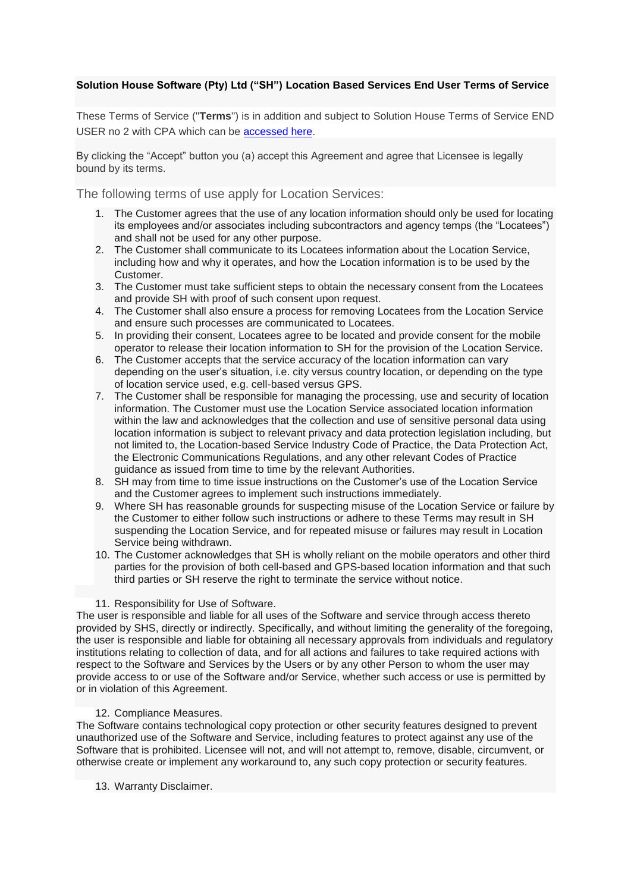# **Solution House Software (Pty) Ltd ("SH") Location Based Services End User Terms of Service**

These Terms of Service ("**Terms**") is in addition and subject to Solution House Terms of Service END USER no 2 with CPA which can be [accessed here.](https://www.myincidentdesk.com/legal)

By clicking the "Accept" button you (a) accept this Agreement and agree that Licensee is legally bound by its terms.

The following terms of use apply for Location Services:

- 1. The Customer agrees that the use of any location information should only be used for locating its employees and/or associates including subcontractors and agency temps (the "Locatees") and shall not be used for any other purpose.
- 2. The Customer shall communicate to its Locatees information about the Location Service, including how and why it operates, and how the Location information is to be used by the Customer.
- 3. The Customer must take sufficient steps to obtain the necessary consent from the Locatees and provide SH with proof of such consent upon request.
- 4. The Customer shall also ensure a process for removing Locatees from the Location Service and ensure such processes are communicated to Locatees.
- 5. In providing their consent, Locatees agree to be located and provide consent for the mobile operator to release their location information to SH for the provision of the Location Service.
- 6. The Customer accepts that the service accuracy of the location information can vary depending on the user's situation, i.e. city versus country location, or depending on the type of location service used, e.g. cell-based versus GPS.
- 7. The Customer shall be responsible for managing the processing, use and security of location information. The Customer must use the Location Service associated location information within the law and acknowledges that the collection and use of sensitive personal data using location information is subject to relevant privacy and data protection legislation including, but not limited to, the Location-based Service Industry Code of Practice, the Data Protection Act, the Electronic Communications Regulations, and any other relevant Codes of Practice guidance as issued from time to time by the relevant Authorities.
- 8. SH may from time to time issue instructions on the Customer's use of the Location Service and the Customer agrees to implement such instructions immediately.
- 9. Where SH has reasonable grounds for suspecting misuse of the Location Service or failure by the Customer to either follow such instructions or adhere to these Terms may result in SH suspending the Location Service, and for repeated misuse or failures may result in Location Service being withdrawn.
- 10. The Customer acknowledges that SH is wholly reliant on the mobile operators and other third parties for the provision of both cell-based and GPS-based location information and that such third parties or SH reserve the right to terminate the service without notice.

## 11. Responsibility for Use of Software.

The user is responsible and liable for all uses of the Software and service through access thereto provided by SHS, directly or indirectly. Specifically, and without limiting the generality of the foregoing, the user is responsible and liable for obtaining all necessary approvals from individuals and regulatory institutions relating to collection of data, and for all actions and failures to take required actions with respect to the Software and Services by the Users or by any other Person to whom the user may provide access to or use of the Software and/or Service, whether such access or use is permitted by or in violation of this Agreement.

## 12. Compliance Measures.

The Software contains technological copy protection or other security features designed to prevent unauthorized use of the Software and Service, including features to protect against any use of the Software that is prohibited. Licensee will not, and will not attempt to, remove, disable, circumvent, or otherwise create or implement any workaround to, any such copy protection or security features.

13. Warranty Disclaimer.